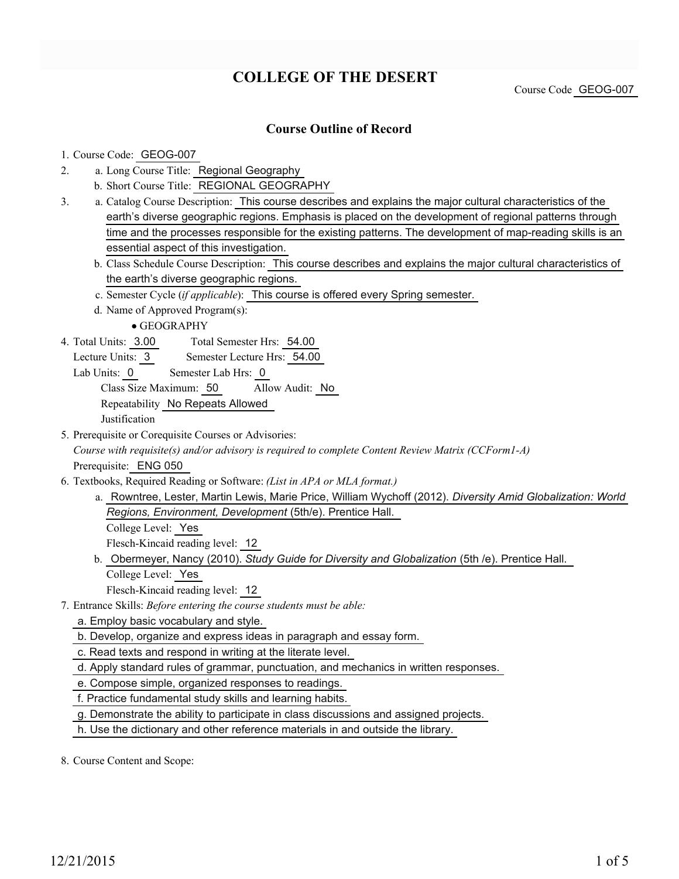# **COLLEGE OF THE DESERT**

Course Code GEOG-007

### **Course Outline of Record**

### 1. Course Code: GEOG-007

- a. Long Course Title: Regional Geography 2.
	- b. Short Course Title: REGIONAL GEOGRAPHY
- Catalog Course Description: This course describes and explains the major cultural characteristics of the a. earth's diverse geographic regions. Emphasis is placed on the development of regional patterns through time and the processes responsible for the existing patterns. The development of map-reading skills is an essential aspect of this investigation. 3.
	- b. Class Schedule Course Description: This course describes and explains the major cultural characteristics of the earth's diverse geographic regions.
	- c. Semester Cycle (*if applicable*): This course is offered every Spring semester.
	- d. Name of Approved Program(s):

GEOGRAPHY

- Total Semester Hrs: 54.00 4. Total Units: 3.00
	- Lecture Units: 3 Semester Lecture Hrs: 54.00
	- Lab Units: 0 Semester Lab Hrs: 0 Class Size Maximum: 50 Allow Audit: No Repeatability No Repeats Allowed Justification
- 5. Prerequisite or Corequisite Courses or Advisories:

*Course with requisite(s) and/or advisory is required to complete Content Review Matrix (CCForm1-A)* Prerequisite: ENG 050

- Textbooks, Required Reading or Software: *(List in APA or MLA format.)* 6.
	- a. Rowntree, Lester, Martin Lewis, Marie Price, William Wychoff (2012). *Diversity Amid Globalization: World Regions, Environment, Development* (5th/e). Prentice Hall. College Level: Yes

Flesch-Kincaid reading level: 12

b. Obermeyer, Nancy (2010). *Study Guide for Diversity and Globalization* (5th /e). Prentice Hall. College Level: Yes

Flesch-Kincaid reading level: 12

- Entrance Skills: *Before entering the course students must be able:* 7.
	- a. Employ basic vocabulary and style.

b. Develop, organize and express ideas in paragraph and essay form.

c. Read texts and respond in writing at the literate level.

d. Apply standard rules of grammar, punctuation, and mechanics in written responses.

e. Compose simple, organized responses to readings.

f. Practice fundamental study skills and learning habits.

g. Demonstrate the ability to participate in class discussions and assigned projects.

h. Use the dictionary and other reference materials in and outside the library.

8. Course Content and Scope: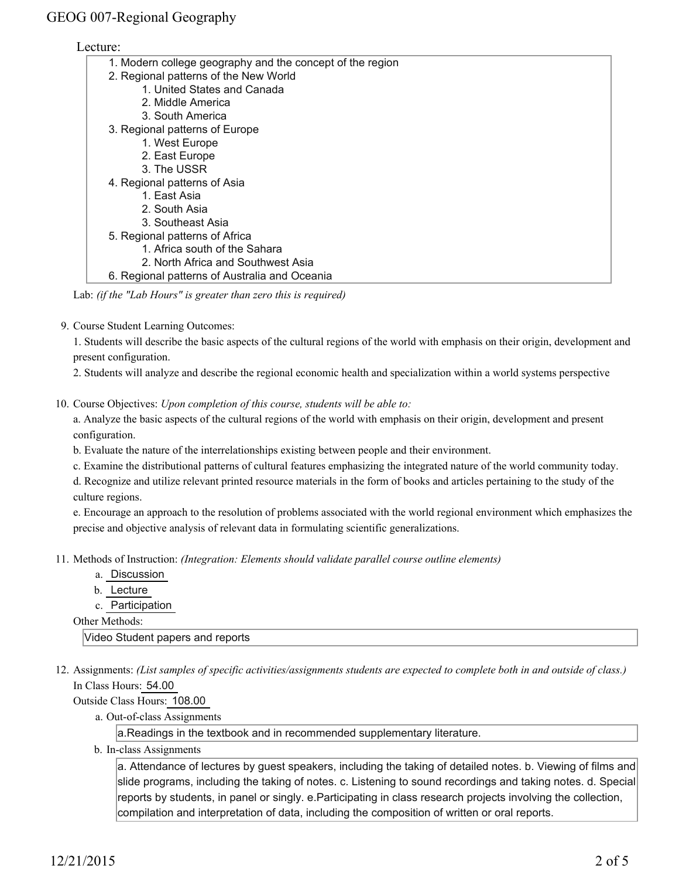### Lecture:

| 1. Modern college geography and the concept of the region |  |  |  |
|-----------------------------------------------------------|--|--|--|
| 2. Regional patterns of the New World                     |  |  |  |
| 1. United States and Canada                               |  |  |  |
| 2. Middle America                                         |  |  |  |
| 3. South America                                          |  |  |  |
| 3. Regional patterns of Europe                            |  |  |  |
| 1. West Europe                                            |  |  |  |
| 2. East Europe                                            |  |  |  |
| 3. The USSR                                               |  |  |  |
| 4. Regional patterns of Asia                              |  |  |  |
| 1. East Asia                                              |  |  |  |
| 2. South Asia                                             |  |  |  |
| 3. Southeast Asia                                         |  |  |  |
| 5. Regional patterns of Africa                            |  |  |  |
| 1. Africa south of the Sahara                             |  |  |  |
| 2. North Africa and Southwest Asia                        |  |  |  |
| 6. Regional patterns of Australia and Oceania             |  |  |  |

Lab: *(if the "Lab Hours" is greater than zero this is required)*

9. Course Student Learning Outcomes:

1. Students will describe the basic aspects of the cultural regions of the world with emphasis on their origin, development and present configuration.

2. Students will analyze and describe the regional economic health and specialization within a world systems perspective

10. Course Objectives: Upon completion of this course, students will be able to:

a. Analyze the basic aspects of the cultural regions of the world with emphasis on their origin, development and present configuration.

b. Evaluate the nature of the interrelationships existing between people and their environment.

c. Examine the distributional patterns of cultural features emphasizing the integrated nature of the world community today.

d. Recognize and utilize relevant printed resource materials in the form of books and articles pertaining to the study of the culture regions.

e. Encourage an approach to the resolution of problems associated with the world regional environment which emphasizes the precise and objective analysis of relevant data in formulating scientific generalizations.

Methods of Instruction: *(Integration: Elements should validate parallel course outline elements)* 11.

- a. Discussion
- b. Lecture
- c. Participation

Other Methods:

Video Student papers and reports

12. Assignments: (List samples of specific activities/assignments students are expected to complete both in and outside of class.) In Class Hours: 54.00

Outside Class Hours: 108.00

a. Out-of-class Assignments

a.Readings in the textbook and in recommended supplementary literature.

b. In-class Assignments

a. Attendance of lectures by guest speakers, including the taking of detailed notes. b. Viewing of films and slide programs, including the taking of notes. c. Listening to sound recordings and taking notes. d. Special reports by students, in panel or singly. e.Participating in class research projects involving the collection, compilation and interpretation of data, including the composition of written or oral reports.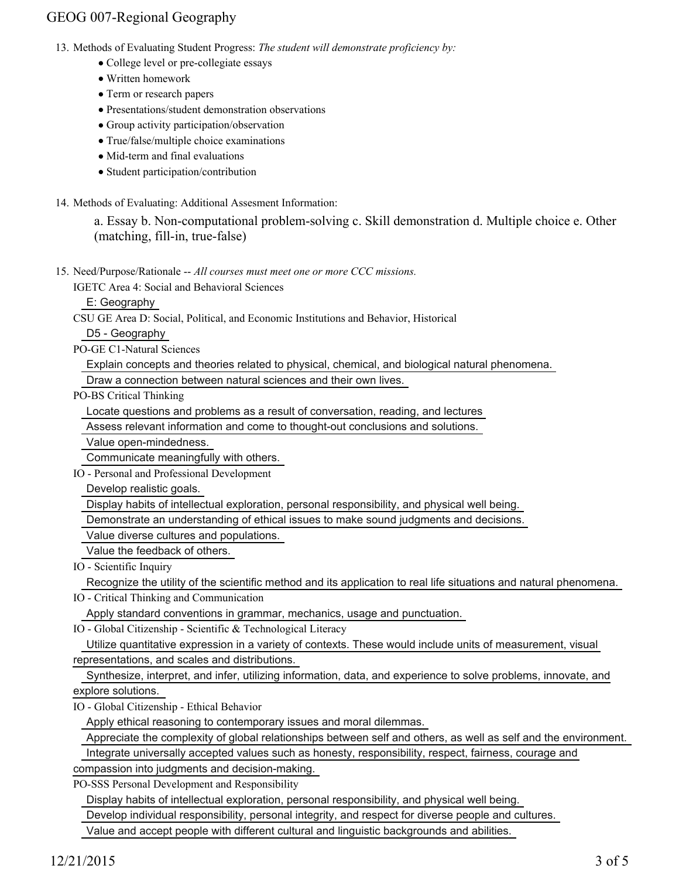## GEOG 007-Regional Geography

- 13. Methods of Evaluating Student Progress: The student will demonstrate proficiency by:
	- College level or pre-collegiate essays
	- Written homework
	- Term or research papers
	- Presentations/student demonstration observations
	- Group activity participation/observation
	- True/false/multiple choice examinations
	- Mid-term and final evaluations
	- Student participation/contribution
- 14. Methods of Evaluating: Additional Assesment Information:

a. Essay b. Non-computational problem-solving c. Skill demonstration d. Multiple choice e. Other (matching, fill-in, true-false)

15. Need/Purpose/Rationale -- All courses must meet one or more CCC missions.

IGETC Area 4: Social and Behavioral Sciences

E: Geography

CSU GE Area D: Social, Political, and Economic Institutions and Behavior, Historical

D5 - Geography

PO-GE C1-Natural Sciences

Explain concepts and theories related to physical, chemical, and biological natural phenomena.

Draw a connection between natural sciences and their own lives.

PO-BS Critical Thinking

Locate questions and problems as a result of conversation, reading, and lectures

Assess relevant information and come to thought-out conclusions and solutions.

Value open-mindedness.

Communicate meaningfully with others.

IO - Personal and Professional Development

Develop realistic goals.

Display habits of intellectual exploration, personal responsibility, and physical well being.

Demonstrate an understanding of ethical issues to make sound judgments and decisions.

Value diverse cultures and populations.

Value the feedback of others.

IO - Scientific Inquiry

Recognize the utility of the scientific method and its application to real life situations and natural phenomena.

IO - Critical Thinking and Communication

Apply standard conventions in grammar, mechanics, usage and punctuation.

IO - Global Citizenship - Scientific & Technological Literacy

 Utilize quantitative expression in a variety of contexts. These would include units of measurement, visual representations, and scales and distributions.

 Synthesize, interpret, and infer, utilizing information, data, and experience to solve problems, innovate, and explore solutions.

IO - Global Citizenship - Ethical Behavior

Apply ethical reasoning to contemporary issues and moral dilemmas.

Appreciate the complexity of global relationships between self and others, as well as self and the environment.

Integrate universally accepted values such as honesty, responsibility, respect, fairness, courage and

compassion into judgments and decision-making.

PO-SSS Personal Development and Responsibility

Display habits of intellectual exploration, personal responsibility, and physical well being.

Develop individual responsibility, personal integrity, and respect for diverse people and cultures.

Value and accept people with different cultural and linguistic backgrounds and abilities.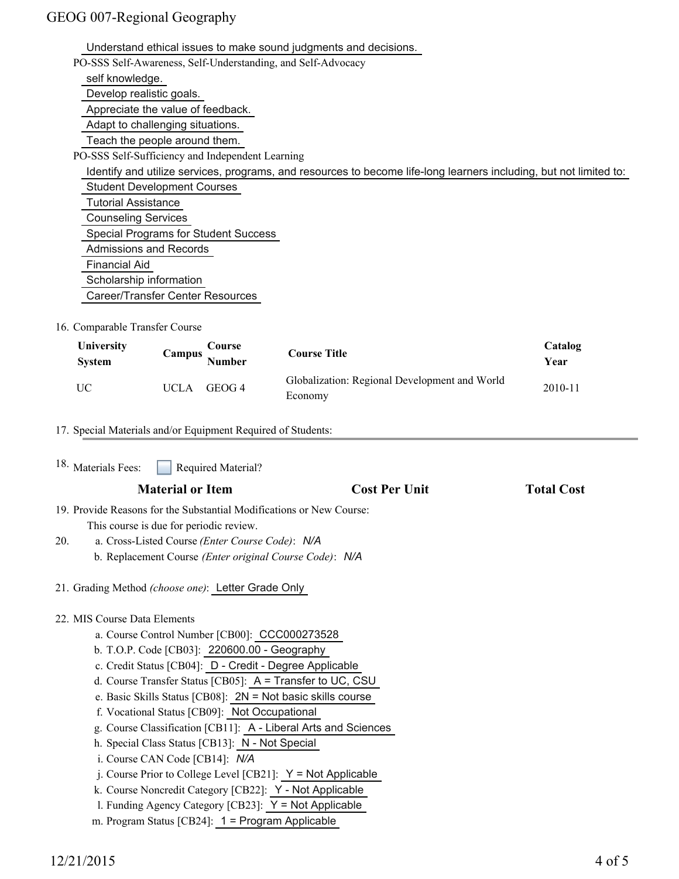## GEOG 007-Regional Geography

 Understand ethical issues to make sound judgments and decisions. PO-SSS Self-Awareness, Self-Understanding, and Self-Advocacy self knowledge. Develop realistic goals. Appreciate the value of feedback. Adapt to challenging situations. Teach the people around them. PO-SSS Self-Sufficiency and Independent Learning Identify and utilize services, programs, and resources to become life-long learners including, but not limited to: Student Development Courses Tutorial Assistance Counseling Services Special Programs for Student Success Admissions and Records Financial Aid Scholarship information Career/Transfer Center Resources

### 16. Comparable Transfer Course

| <b>University</b><br><b>System</b> | Course<br>Campus<br><b>Number</b> | <b>Course Title</b>                                      | Catalog<br>Year |
|------------------------------------|-----------------------------------|----------------------------------------------------------|-----------------|
| UC                                 | GEOG 4<br>UCLA                    | Globalization: Regional Development and World<br>Economy | 2010-11         |

#### 17. Special Materials and/or Equipment Required of Students:

| <sup>18.</sup> Materials Fees:<br>Required Material?                 |                      |                   |  |  |  |  |
|----------------------------------------------------------------------|----------------------|-------------------|--|--|--|--|
| <b>Material or Item</b>                                              | <b>Cost Per Unit</b> | <b>Total Cost</b> |  |  |  |  |
| 19. Provide Reasons for the Substantial Modifications or New Course: |                      |                   |  |  |  |  |
| This course is due for periodic review.                              |                      |                   |  |  |  |  |
| a. Cross-Listed Course (Enter Course Code): N/A<br>20.               |                      |                   |  |  |  |  |
| b. Replacement Course (Enter original Course Code): N/A              |                      |                   |  |  |  |  |
| 21. Grading Method (choose one): Letter Grade Only                   |                      |                   |  |  |  |  |
| 22. MIS Course Data Elements                                         |                      |                   |  |  |  |  |
| a. Course Control Number [CB00]: CCC000273528                        |                      |                   |  |  |  |  |
| b. T.O.P. Code [CB03]: 220600.00 - Geography                         |                      |                   |  |  |  |  |
| c. Credit Status [CB04]: D - Credit - Degree Applicable              |                      |                   |  |  |  |  |
| d. Course Transfer Status [CB05]: A = Transfer to UC, CSU            |                      |                   |  |  |  |  |
| e. Basic Skills Status [CB08]: $2N = Not basic skills course$        |                      |                   |  |  |  |  |
| f. Vocational Status [CB09]: Not Occupational                        |                      |                   |  |  |  |  |
| g. Course Classification [CB11]: A - Liberal Arts and Sciences       |                      |                   |  |  |  |  |
| h. Special Class Status [CB13]: N - Not Special                      |                      |                   |  |  |  |  |
| i. Course CAN Code [CB14]: N/A                                       |                      |                   |  |  |  |  |
| j. Course Prior to College Level [CB21]: $Y = Not$ Applicable        |                      |                   |  |  |  |  |
| k. Course Noncredit Category [CB22]: Y - Not Applicable              |                      |                   |  |  |  |  |
| 1. Funding Agency Category [CB23]: $Y = Not$ Applicable              |                      |                   |  |  |  |  |
| m. Program Status [CB24]: 1 = Program Applicable                     |                      |                   |  |  |  |  |
|                                                                      |                      |                   |  |  |  |  |